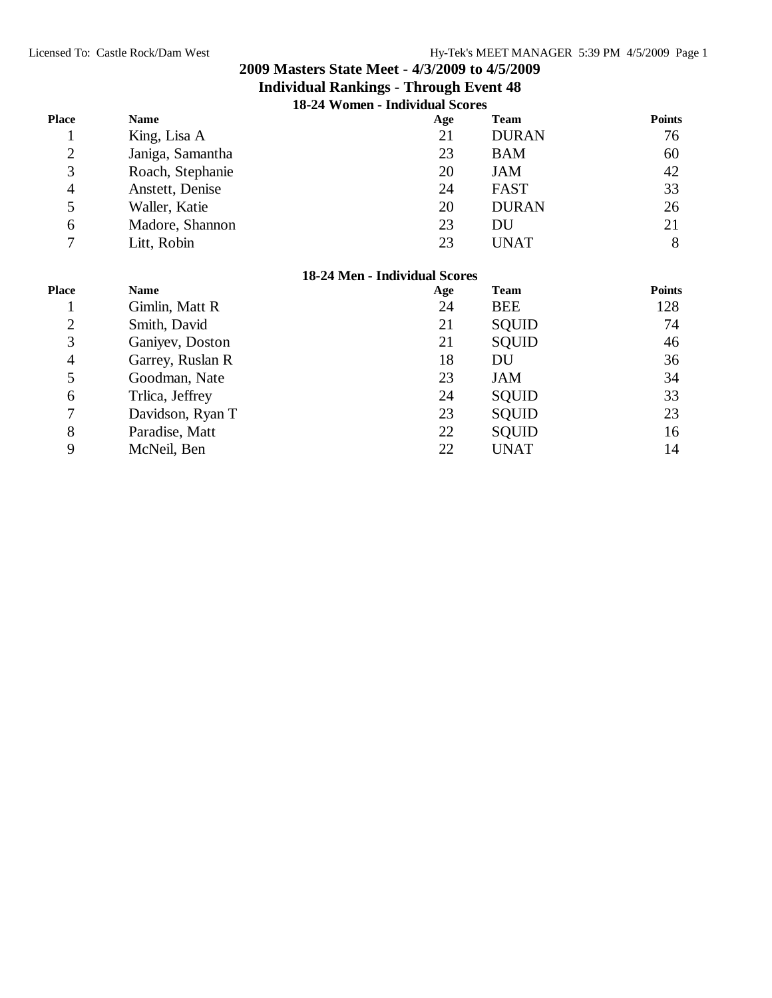| 18-24 Women - Individual Scores |
|---------------------------------|
|---------------------------------|

| <b>Place</b>   | <b>Name</b>      | Age                           | <b>Team</b>  | <b>Points</b> |
|----------------|------------------|-------------------------------|--------------|---------------|
| т              | King, Lisa A     | 21                            | <b>DURAN</b> | 76            |
| $\overline{c}$ | Janiga, Samantha | 23                            | <b>BAM</b>   | 60            |
| 3              | Roach, Stephanie | 20                            | <b>JAM</b>   | 42            |
| $\overline{4}$ | Anstett, Denise  | 24                            | FAST         | 33            |
| 5              | Waller, Katie    | 20                            | <b>DURAN</b> | 26            |
| 6              | Madore, Shannon  | 23                            | DU           | 21            |
| 7              | Litt, Robin      | 23                            | <b>UNAT</b>  | 8             |
|                |                  | 18-24 Men - Individual Scores |              |               |
| <b>Place</b>   | <b>Name</b>      | Age                           | <b>Team</b>  | <b>Points</b> |
|                | Gimlin, Matt R   | 24                            | <b>BEE</b>   | 128           |
| $\overline{c}$ | Smith, David     | 21                            | <b>SQUID</b> | 74            |
| 3              | Ganiyev, Doston  | 21                            | <b>SQUID</b> | 46            |
| $\overline{4}$ | Garrey, Ruslan R | 18                            | DU           | 36            |
| 5              | Goodman, Nate    | 23                            | JAM          | 34            |
| 6              | Trlica, Jeffrey  | 24                            | <b>SQUID</b> | 33            |
| 7              | Davidson, Ryan T | 23                            | <b>SQUID</b> | 23            |
| 8              | Paradise, Matt   | 22                            | <b>SQUID</b> | 16            |
| 9              | McNeil, Ben      | 22                            | <b>UNAT</b>  | 14            |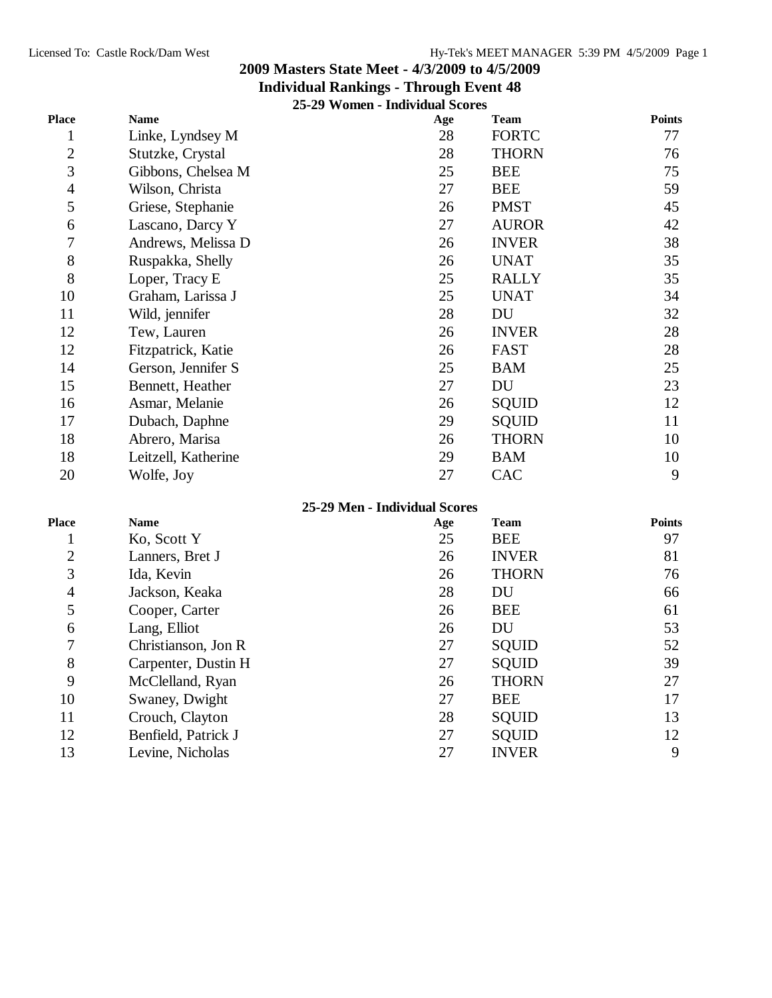#### **Individual Rankings - Through Event 48 25-29 Women - Individual Scores**

|                | $23 - 27$ yvonien – marvidual Scores |                               |              |               |
|----------------|--------------------------------------|-------------------------------|--------------|---------------|
| <b>Place</b>   | <b>Name</b>                          | Age                           | <b>Team</b>  | <b>Points</b> |
| 1              | Linke, Lyndsey M                     | 28                            | <b>FORTC</b> | 77            |
| $\mathbf{2}$   | Stutzke, Crystal                     | 28                            | <b>THORN</b> | 76            |
| 3              | Gibbons, Chelsea M                   | 25                            | <b>BEE</b>   | 75            |
| $\overline{4}$ | Wilson, Christa                      | 27                            | <b>BEE</b>   | 59            |
| 5              | Griese, Stephanie                    | 26                            | <b>PMST</b>  | 45            |
| 6              | Lascano, Darcy Y                     | 27                            | <b>AUROR</b> | 42            |
| 7              | Andrews, Melissa D                   | 26                            | <b>INVER</b> | 38            |
| 8              | Ruspakka, Shelly                     | 26                            | <b>UNAT</b>  | 35            |
| 8              | Loper, Tracy E                       | 25                            | <b>RALLY</b> | 35            |
| 10             | Graham, Larissa J                    | 25                            | <b>UNAT</b>  | 34            |
| 11             | Wild, jennifer                       | 28                            | DU           | 32            |
| 12             | Tew, Lauren                          | 26                            | <b>INVER</b> | 28            |
| 12             | Fitzpatrick, Katie                   | 26                            | <b>FAST</b>  | 28            |
| 14             | Gerson, Jennifer S                   | 25                            | <b>BAM</b>   | 25            |
| 15             | Bennett, Heather                     | 27                            | DU           | 23            |
| 16             | Asmar, Melanie                       | 26                            | <b>SQUID</b> | 12            |
| 17             | Dubach, Daphne                       | 29                            | <b>SQUID</b> | 11            |
| 18             | Abrero, Marisa                       | 26                            | <b>THORN</b> | 10            |
| 18             | Leitzell, Katherine                  | 29                            | <b>BAM</b>   | 10            |
| 20             | Wolfe, Joy                           | 27                            | <b>CAC</b>   | 9             |
|                |                                      | 25-29 Men - Individual Scores |              |               |
| Place          | <b>Name</b>                          | Age                           | <b>Team</b>  | <b>Points</b> |
| 1              | Ko, Scott Y                          | 25                            | <b>BEE</b>   | 97            |
| $\overline{2}$ | Lanners, Bret J                      | 26                            | <b>INVER</b> | 81            |
| 3              | Ida, Kevin                           | 26                            | <b>THORN</b> | 76            |

 Jackson, Keaka 28 DU 66 5 Cooper, Carter 26 BEE 61 Lang, Elliot 26 DU 53 7 Christianson, Jon R 27 SQUID 52 8 Carpenter, Dustin H 27 SQUID 39 9 McClelland, Ryan 26 THORN 27 10 Swaney, Dwight 27 BEE 17 11 Crouch, Clayton 28 SQUID 13 12 Benfield, Patrick J 27 SQUID 12 Levine, Nicholas 27 INVER 9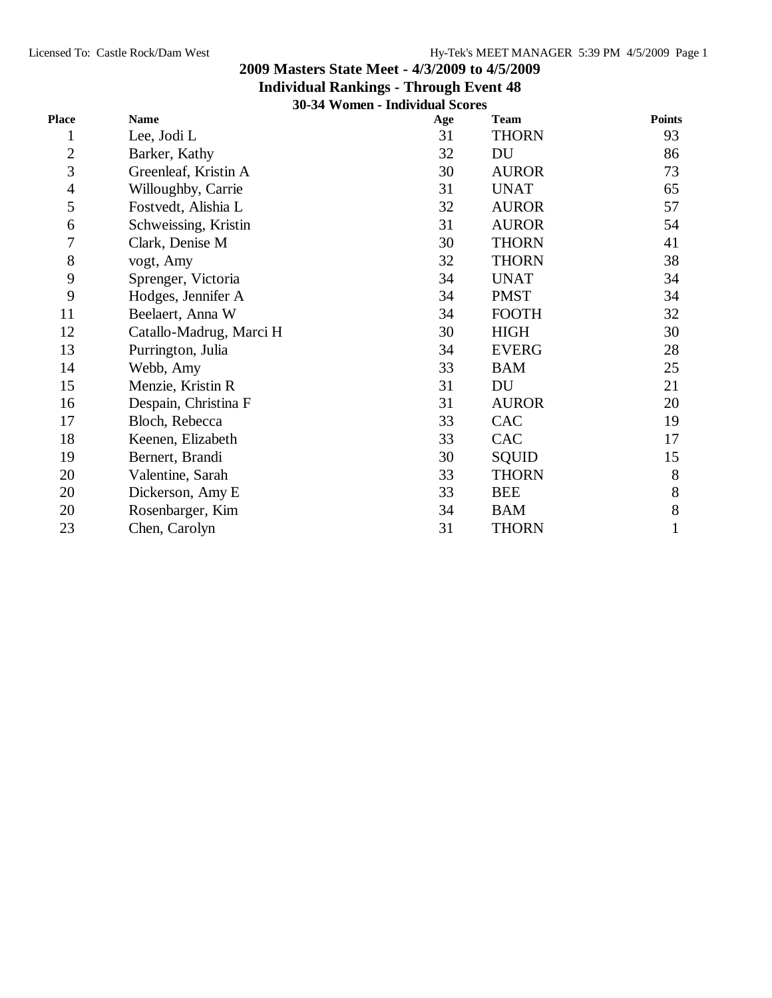|                | 30-34 Women - Individual Scores |     |              |               |
|----------------|---------------------------------|-----|--------------|---------------|
| <b>Place</b>   | <b>Name</b>                     | Age | <b>Team</b>  | <b>Points</b> |
| 1              | Lee, Jodi L                     | 31  | <b>THORN</b> | 93            |
| $\mathbf{2}$   | Barker, Kathy                   | 32  | DU           | 86            |
| 3              | Greenleaf, Kristin A            | 30  | <b>AUROR</b> | 73            |
| $\overline{4}$ | Willoughby, Carrie              | 31  | <b>UNAT</b>  | 65            |
| 5              | Fostvedt, Alishia L             | 32  | <b>AUROR</b> | 57            |
| 6              | Schweissing, Kristin            | 31  | <b>AUROR</b> | 54            |
| 7              | Clark, Denise M                 | 30  | <b>THORN</b> | 41            |
| 8              | vogt, Amy                       | 32  | <b>THORN</b> | 38            |
| 9              | Sprenger, Victoria              | 34  | <b>UNAT</b>  | 34            |
| 9              | Hodges, Jennifer A              | 34  | <b>PMST</b>  | 34            |
| 11             | Beelaert, Anna W                | 34  | <b>FOOTH</b> | 32            |
| 12             | Catallo-Madrug, Marci H         | 30  | <b>HIGH</b>  | 30            |
| 13             | Purrington, Julia               | 34  | <b>EVERG</b> | 28            |
| 14             | Webb, Amy                       | 33  | <b>BAM</b>   | 25            |
| 15             | Menzie, Kristin R               | 31  | DU           | 21            |
| 16             | Despain, Christina F            | 31  | <b>AUROR</b> | 20            |
| 17             | Bloch, Rebecca                  | 33  | CAC          | 19            |
| 18             | Keenen, Elizabeth               | 33  | CAC          | 17            |
| 19             | Bernert, Brandi                 | 30  | <b>SQUID</b> | 15            |
| 20             | Valentine, Sarah                | 33  | <b>THORN</b> | 8             |
| 20             | Dickerson, Amy E                | 33  | <b>BEE</b>   | 8             |
| 20             | Rosenbarger, Kim                | 34  | <b>BAM</b>   | 8             |
| 23             | Chen, Carolyn                   | 31  | <b>THORN</b> | $\mathbf{1}$  |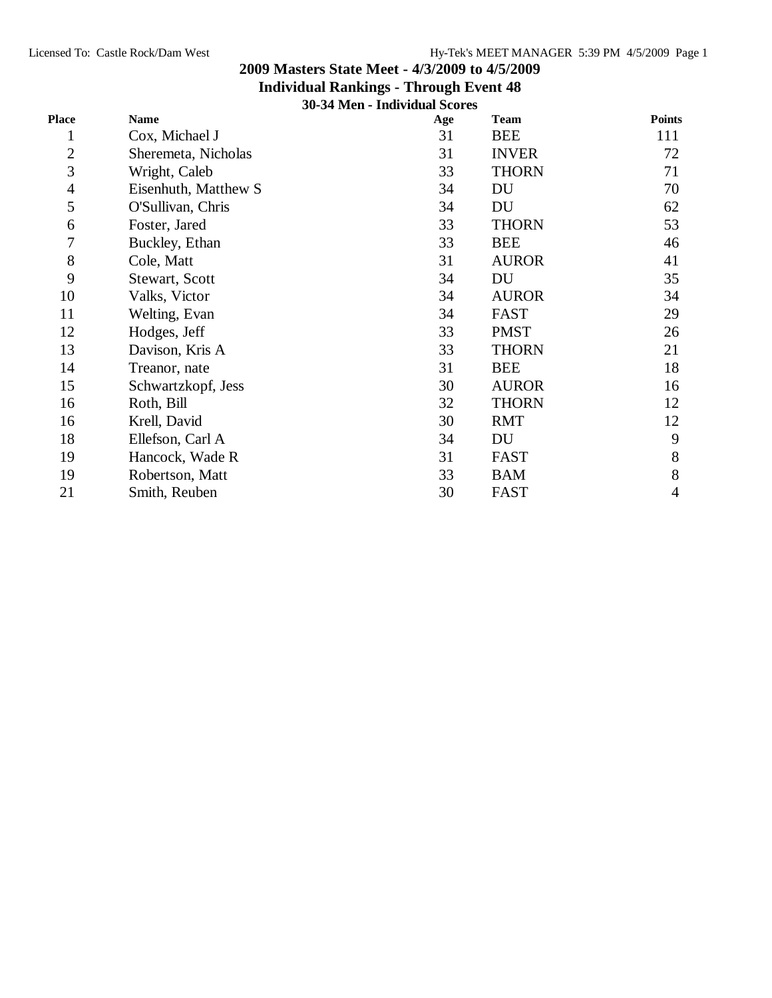## **Individual Rankings - Through Event 48**

**30-34 Men - Individual Scores**

| Place          | <b>Name</b>          | Age | <b>Team</b>  | <b>Points</b> |
|----------------|----------------------|-----|--------------|---------------|
| $\mathbf 1$    | Cox, Michael J       | 31  | <b>BEE</b>   | 111           |
| $\overline{c}$ | Sheremeta, Nicholas  | 31  | <b>INVER</b> | 72            |
| 3              | Wright, Caleb        | 33  | <b>THORN</b> | 71            |
| 4              | Eisenhuth, Matthew S | 34  | DU           | 70            |
| 5              | O'Sullivan, Chris    | 34  | DU           | 62            |
| 6              | Foster, Jared        | 33  | <b>THORN</b> | 53            |
| 7              | Buckley, Ethan       | 33  | <b>BEE</b>   | 46            |
| 8              | Cole, Matt           | 31  | <b>AUROR</b> | 41            |
| 9              | Stewart, Scott       | 34  | DU           | 35            |
| 10             | Valks, Victor        | 34  | <b>AUROR</b> | 34            |
| 11             | Welting, Evan        | 34  | <b>FAST</b>  | 29            |
| 12             | Hodges, Jeff         | 33  | <b>PMST</b>  | 26            |
| 13             | Davison, Kris A      | 33  | <b>THORN</b> | 21            |
| 14             | Treanor, nate        | 31  | <b>BEE</b>   | 18            |
| 15             | Schwartzkopf, Jess   | 30  | <b>AUROR</b> | 16            |
| 16             | Roth, Bill           | 32  | <b>THORN</b> | 12            |
| 16             | Krell, David         | 30  | <b>RMT</b>   | 12            |
| 18             | Ellefson, Carl A     | 34  | DU           | 9             |
| 19             | Hancock, Wade R      | 31  | <b>FAST</b>  | 8             |
| 19             | Robertson, Matt      | 33  | <b>BAM</b>   | 8             |
| 21             | Smith, Reuben        | 30  | <b>FAST</b>  | 4             |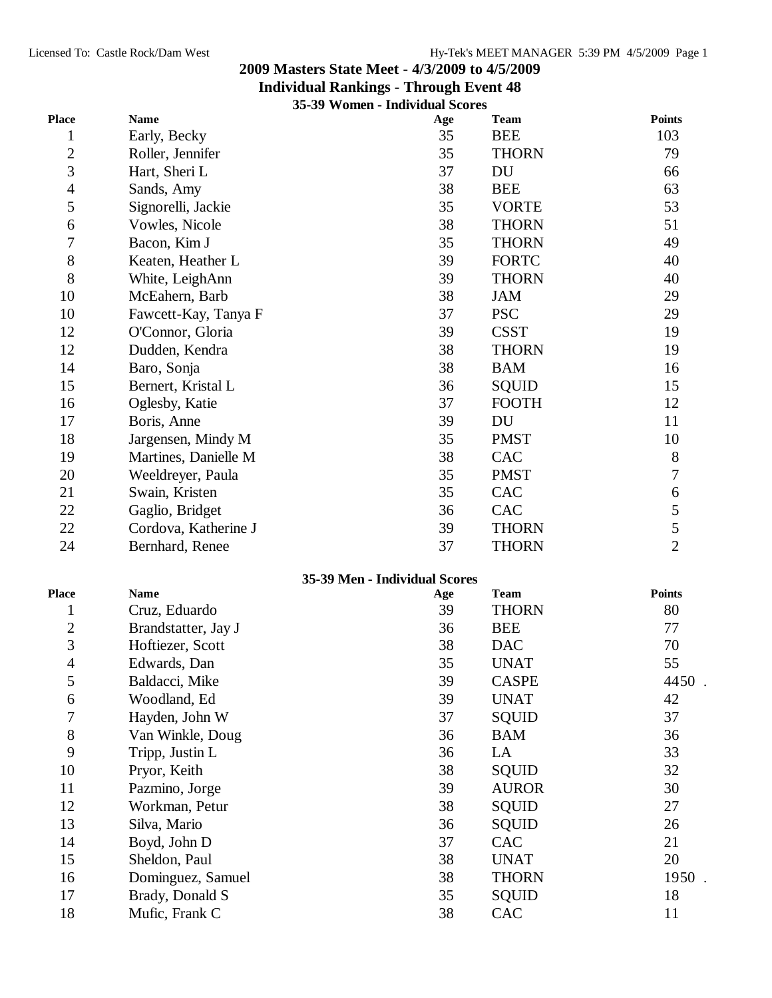#### **Individual Rankings - Through Event 48**

|                  |                      | 35-39 Women - Individual Scores |              |                  |
|------------------|----------------------|---------------------------------|--------------|------------------|
| Place            | <b>Name</b>          | Age                             | <b>Team</b>  | <b>Points</b>    |
| $\mathbf{1}$     | Early, Becky         | 35                              | <b>BEE</b>   | 103              |
| $\overline{c}$   | Roller, Jennifer     | 35                              | <b>THORN</b> | 79               |
| 3                | Hart, Sheri L        | 37                              | DU           | 66               |
| $\overline{4}$   | Sands, Amy           | 38                              | <b>BEE</b>   | 63               |
| 5                | Signorelli, Jackie   | 35                              | <b>VORTE</b> | 53               |
| 6                | Vowles, Nicole       | 38                              | <b>THORN</b> | 51               |
| 7                | Bacon, Kim J         | 35                              | <b>THORN</b> | 49               |
| $8\,$            | Keaten, Heather L    | 39                              | <b>FORTC</b> | 40               |
| 8                | White, LeighAnn      | 39                              | <b>THORN</b> | 40               |
| 10               | McEahern, Barb       | 38                              | <b>JAM</b>   | 29               |
| 10               | Fawcett-Kay, Tanya F | 37                              | <b>PSC</b>   | 29               |
| 12               | O'Connor, Gloria     | 39                              | <b>CSST</b>  | 19               |
| 12               | Dudden, Kendra       | 38                              | <b>THORN</b> | 19               |
| 14               | Baro, Sonja          | 38                              | <b>BAM</b>   | 16               |
| 15               | Bernert, Kristal L   | 36                              | <b>SQUID</b> | 15               |
| 16               | Oglesby, Katie       | 37                              | <b>FOOTH</b> | 12               |
| 17               | Boris, Anne          | 39                              | <b>DU</b>    | 11               |
| 18               | Jargensen, Mindy M   | 35                              | <b>PMST</b>  | 10               |
| 19               | Martines, Danielle M | 38                              | CAC          | $8\,$            |
| 20               | Weeldreyer, Paula    | 35                              | <b>PMST</b>  | $\boldsymbol{7}$ |
| 21               | Swain, Kristen       | 35                              | CAC          | 6                |
| 22               | Gaglio, Bridget      | 36                              | CAC          | $\mathfrak s$    |
| 22               | Cordova, Katherine J | 39                              | <b>THORN</b> | $\sqrt{5}$       |
| 24               | Bernhard, Renee      | 37                              | <b>THORN</b> | $\overline{2}$   |
|                  |                      | 35-39 Men - Individual Scores   |              |                  |
| Place            | <b>Name</b>          | Age                             | <b>Team</b>  | <b>Points</b>    |
| $\mathbf{1}$     | Cruz, Eduardo        | 39                              | <b>THORN</b> | 80               |
| $\boldsymbol{2}$ | Brandstatter, Jay J  | 36                              | <b>BEE</b>   | 77               |
| $\overline{3}$   | Hoftiezer, Scott     | 38                              | <b>DAC</b>   | 70               |
| $\overline{4}$   | Edwards, Dan         | 35                              | <b>UNAT</b>  | 55               |
| 5                | Baldacci, Mike       | 39                              | <b>CASPE</b> | 4450             |
| 6                | Woodland, Ed         | 39                              | <b>UNAT</b>  | 42               |
| $\overline{7}$   | Hayden, John W       | 37                              | <b>SQUID</b> | 37               |
| $8\,$            | Van Winkle, Doug     | 36                              | <b>BAM</b>   | 36               |
| 9                | Tripp, Justin L      | 36                              | LA           | 33               |
| 10               | Pryor, Keith         | 38                              | SQUID        | 32               |
| 11               | Pazmino, Jorge       | 39                              | <b>AUROR</b> | 30               |
| 12               | Workman, Petur       | 38                              | SQUID        | 27               |
| 13               | Silva, Mario         | 36                              | SQUID        | 26               |
| 14               | Boyd, John D         | 37                              | CAC          | 21               |
| 15               | Sheldon, Paul        | 38                              | <b>UNAT</b>  | 20               |
| 16               | Dominguez, Samuel    | 38                              | <b>THORN</b> | 1950.            |
| 17               | Brady, Donald S      | 35                              | <b>SQUID</b> | 18               |

17 Brady, Donald S 35 SQUID 18 18 Mufic, Frank C 38 CAC 11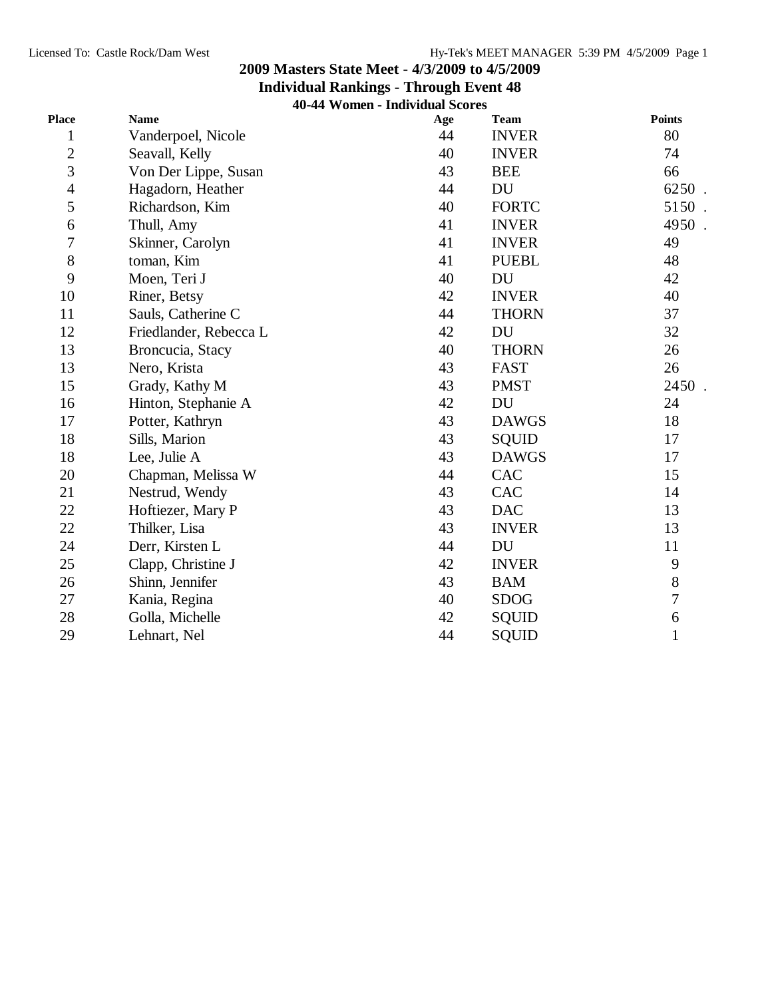### **Individual Rankings - Through Event 48**

**40-44 Women - Individual Scores**

| Place          | <b>Name</b>            | Age | <b>Team</b>  | <b>Points</b>  |
|----------------|------------------------|-----|--------------|----------------|
| $\mathbf{1}$   | Vanderpoel, Nicole     | 44  | <b>INVER</b> | 80             |
| $\overline{c}$ | Seavall, Kelly         | 40  | <b>INVER</b> | 74             |
| 3              | Von Der Lippe, Susan   | 43  | <b>BEE</b>   | 66             |
| $\overline{4}$ | Hagadorn, Heather      | 44  | DU           | 6250.          |
| 5              | Richardson, Kim        | 40  | <b>FORTC</b> | 5150           |
| 6              | Thull, Amy             | 41  | <b>INVER</b> | 4950           |
| $\overline{7}$ | Skinner, Carolyn       | 41  | <b>INVER</b> | 49             |
| 8              | toman, Kim             | 41  | <b>PUEBL</b> | 48             |
| 9              | Moen, Teri J           | 40  | DU           | 42             |
| 10             | Riner, Betsy           | 42  | <b>INVER</b> | 40             |
| 11             | Sauls, Catherine C     | 44  | <b>THORN</b> | 37             |
| 12             | Friedlander, Rebecca L | 42  | <b>DU</b>    | 32             |
| 13             | Broncucia, Stacy       | 40  | <b>THORN</b> | 26             |
| 13             | Nero, Krista           | 43  | <b>FAST</b>  | 26             |
| 15             | Grady, Kathy M         | 43  | <b>PMST</b>  | 2450.          |
| 16             | Hinton, Stephanie A    | 42  | DU           | 24             |
| 17             | Potter, Kathryn        | 43  | <b>DAWGS</b> | 18             |
| 18             | Sills, Marion          | 43  | <b>SQUID</b> | 17             |
| 18             | Lee, Julie A           | 43  | <b>DAWGS</b> | 17             |
| 20             | Chapman, Melissa W     | 44  | <b>CAC</b>   | 15             |
| 21             | Nestrud, Wendy         | 43  | <b>CAC</b>   | 14             |
| 22             | Hoftiezer, Mary P      | 43  | <b>DAC</b>   | 13             |
| 22             | Thilker, Lisa          | 43  | <b>INVER</b> | 13             |
| 24             | Derr, Kirsten L        | 44  | DU           | 11             |
| 25             | Clapp, Christine J     | 42  | <b>INVER</b> | 9              |
| 26             | Shinn, Jennifer        | 43  | <b>BAM</b>   | $8\,$          |
| 27             | Kania, Regina          | 40  | <b>SDOG</b>  | $\overline{7}$ |
| 28             | Golla, Michelle        | 42  | SQUID        | 6              |
| 29             | Lehnart, Nel           | 44  | SQUID        | $\mathbf{1}$   |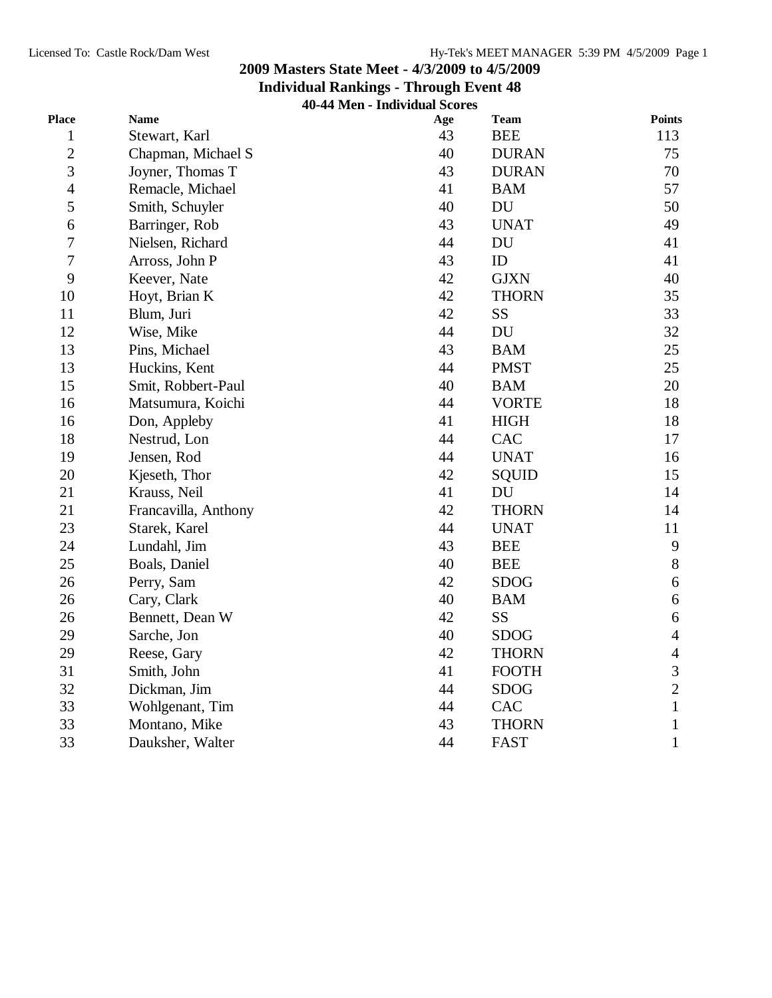**Individual Rankings - Through Event 48**

**40-44 Men - Individual Scores**

| Place            | <b>Name</b>          | Age | <b>Team</b>  | <b>Points</b>    |
|------------------|----------------------|-----|--------------|------------------|
| $\mathbf{1}$     | Stewart, Karl        | 43  | <b>BEE</b>   | 113              |
| $\overline{c}$   | Chapman, Michael S   | 40  | <b>DURAN</b> | 75               |
| 3                | Joyner, Thomas T     | 43  | <b>DURAN</b> | 70               |
| $\overline{4}$   | Remacle, Michael     | 41  | <b>BAM</b>   | 57               |
| 5                | Smith, Schuyler      | 40  | DU           | 50               |
| $\boldsymbol{6}$ | Barringer, Rob       | 43  | <b>UNAT</b>  | 49               |
| $\boldsymbol{7}$ | Nielsen, Richard     | 44  | <b>DU</b>    | 41               |
| $\overline{7}$   | Arross, John P       | 43  | ID           | 41               |
| 9                | Keever, Nate         | 42  | <b>GJXN</b>  | 40               |
| 10               | Hoyt, Brian K        | 42  | <b>THORN</b> | 35               |
| 11               | Blum, Juri           | 42  | SS           | 33               |
| 12               | Wise, Mike           | 44  | DU           | 32               |
| 13               | Pins, Michael        | 43  | <b>BAM</b>   | 25               |
| 13               | Huckins, Kent        | 44  | <b>PMST</b>  | 25               |
| 15               | Smit, Robbert-Paul   | 40  | <b>BAM</b>   | 20               |
| 16               | Matsumura, Koichi    | 44  | <b>VORTE</b> | 18               |
| 16               | Don, Appleby         | 41  | <b>HIGH</b>  | 18               |
| 18               | Nestrud, Lon         | 44  | CAC          | 17               |
| 19               | Jensen, Rod          | 44  | <b>UNAT</b>  | 16               |
| 20               | Kjeseth, Thor        | 42  | SQUID        | 15               |
| 21               | Krauss, Neil         | 41  | <b>DU</b>    | 14               |
| 21               | Francavilla, Anthony | 42  | <b>THORN</b> | 14               |
| 23               | Starek, Karel        | 44  | <b>UNAT</b>  | 11               |
| 24               | Lundahl, Jim         | 43  | <b>BEE</b>   | 9                |
| 25               | Boals, Daniel        | 40  | <b>BEE</b>   | $8\,$            |
| 26               | Perry, Sam           | 42  | <b>SDOG</b>  | 6                |
| 26               | Cary, Clark          | 40  | <b>BAM</b>   | $\boldsymbol{6}$ |
| 26               | Bennett, Dean W      | 42  | SS           | $\sqrt{6}$       |
| 29               | Sarche, Jon          | 40  | <b>SDOG</b>  | $\overline{4}$   |
| 29               | Reese, Gary          | 42  | <b>THORN</b> | $\overline{4}$   |
| 31               | Smith, John          | 41  | <b>FOOTH</b> | $\mathfrak{Z}$   |
| 32               | Dickman, Jim         | 44  | <b>SDOG</b>  | $\overline{c}$   |
| 33               | Wohlgenant, Tim      | 44  | CAC          | $\mathbf{1}$     |
| 33               | Montano, Mike        | 43  | <b>THORN</b> | $\mathbf{1}$     |
| 33               | Dauksher, Walter     | 44  | <b>FAST</b>  | $\mathbf{1}$     |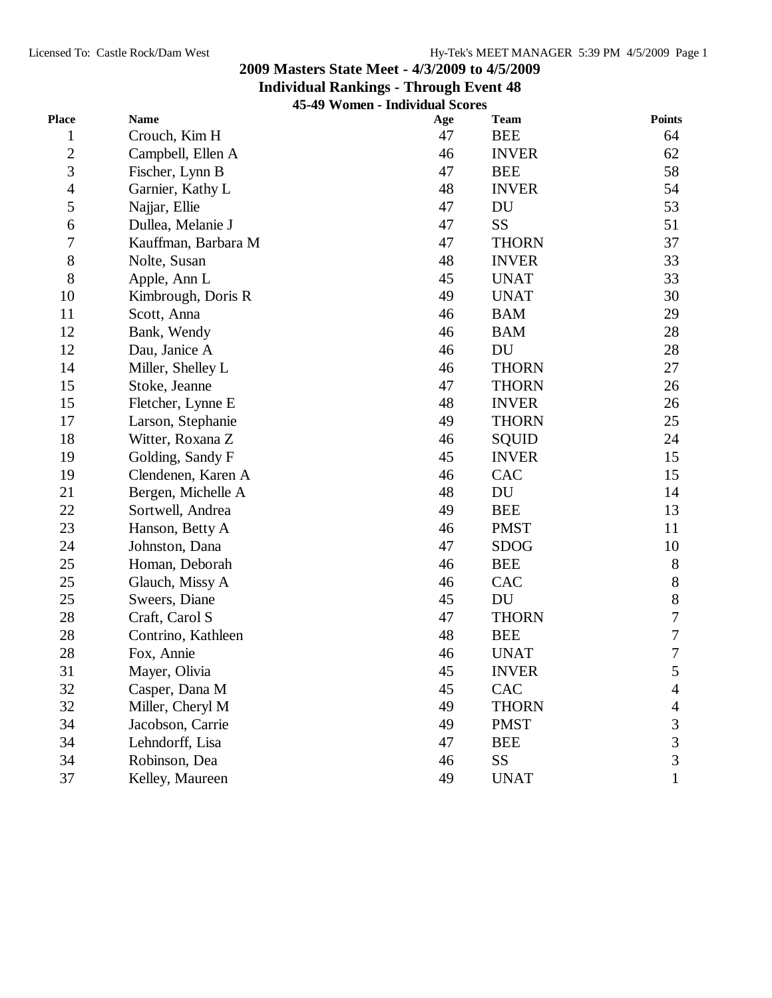## **Individual Rankings - Through Event 48**

**45-49 Women - Individual Scores**

| Place            | <b>Name</b>         | Age | <b>Team</b>  | <b>Points</b>    |
|------------------|---------------------|-----|--------------|------------------|
| $\mathbf{1}$     | Crouch, Kim H       | 47  | <b>BEE</b>   | 64               |
| $\overline{c}$   | Campbell, Ellen A   | 46  | <b>INVER</b> | 62               |
| 3                | Fischer, Lynn B     | 47  | <b>BEE</b>   | 58               |
| $\overline{4}$   | Garnier, Kathy L    | 48  | <b>INVER</b> | 54               |
| 5                | Najjar, Ellie       | 47  | DU           | 53               |
| 6                | Dullea, Melanie J   | 47  | <b>SS</b>    | 51               |
| $\boldsymbol{7}$ | Kauffman, Barbara M | 47  | <b>THORN</b> | 37               |
| 8                | Nolte, Susan        | 48  | <b>INVER</b> | 33               |
| $8\,$            | Apple, Ann L        | 45  | <b>UNAT</b>  | 33               |
| 10               | Kimbrough, Doris R  | 49  | <b>UNAT</b>  | 30               |
| 11               | Scott, Anna         | 46  | <b>BAM</b>   | 29               |
| 12               | Bank, Wendy         | 46  | <b>BAM</b>   | 28               |
| 12               | Dau, Janice A       | 46  | DU           | 28               |
| 14               | Miller, Shelley L   | 46  | <b>THORN</b> | 27               |
| 15               | Stoke, Jeanne       | 47  | <b>THORN</b> | 26               |
| 15               | Fletcher, Lynne E   | 48  | <b>INVER</b> | 26               |
| 17               | Larson, Stephanie   | 49  | <b>THORN</b> | 25               |
| 18               | Witter, Roxana Z    | 46  | SQUID        | 24               |
| 19               | Golding, Sandy F    | 45  | <b>INVER</b> | 15               |
| 19               | Clendenen, Karen A  | 46  | CAC          | 15               |
| 21               | Bergen, Michelle A  | 48  | DU           | 14               |
| 22               | Sortwell, Andrea    | 49  | <b>BEE</b>   | 13               |
| 23               | Hanson, Betty A     | 46  | <b>PMST</b>  | 11               |
| 24               | Johnston, Dana      | 47  | <b>SDOG</b>  | 10               |
| 25               | Homan, Deborah      | 46  | <b>BEE</b>   | $8\phantom{.}$   |
| 25               | Glauch, Missy A     | 46  | CAC          | $8\,$            |
| 25               | Sweers, Diane       | 45  | DU           | 8                |
| 28               | Craft, Carol S      | 47  | <b>THORN</b> | $\overline{7}$   |
| 28               | Contrino, Kathleen  | 48  | <b>BEE</b>   | $\boldsymbol{7}$ |
| 28               | Fox, Annie          | 46  | <b>UNAT</b>  | $\boldsymbol{7}$ |
| 31               | Mayer, Olivia       | 45  | <b>INVER</b> | 5                |
| 32               | Casper, Dana M      | 45  | CAC          | 4                |
| 32               | Miller, Cheryl M    | 49  | <b>THORN</b> | $\overline{4}$   |
| 34               | Jacobson, Carrie    | 49  | <b>PMST</b>  | $\mathfrak{Z}$   |
| 34               | Lehndorff, Lisa     | 47  | <b>BEE</b>   | 3                |
| 34               | Robinson, Dea       | 46  | SS           | $\overline{3}$   |
| 37               | Kelley, Maureen     | 49  | <b>UNAT</b>  | $\mathbf{1}$     |
|                  |                     |     |              |                  |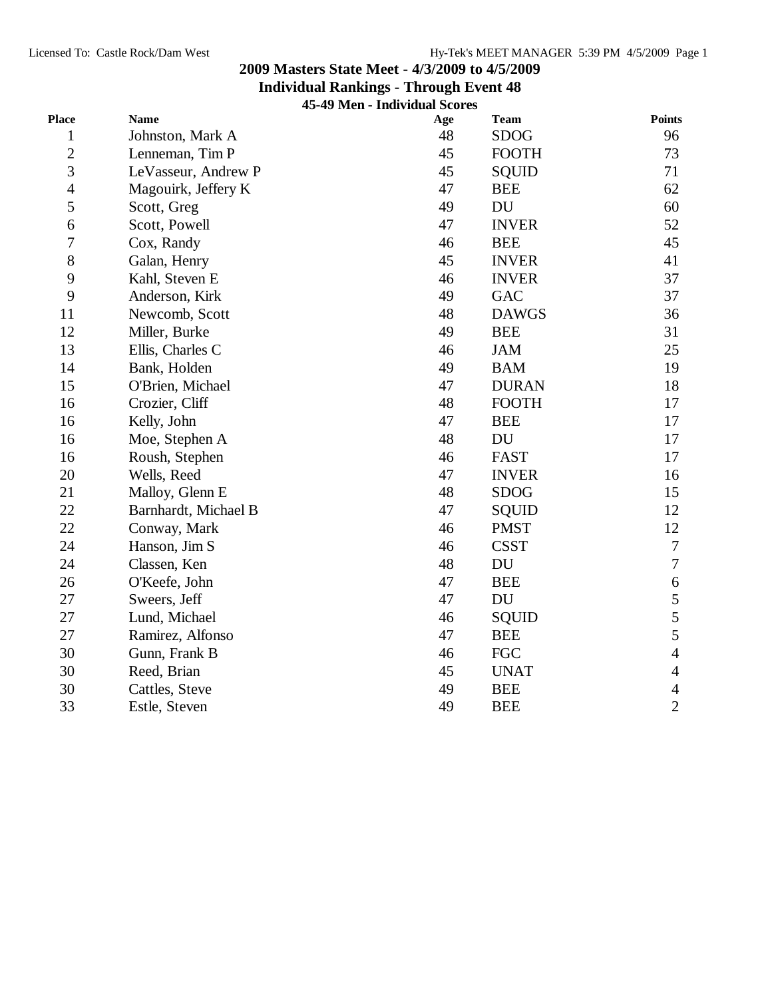**Individual Rankings - Through Event 48**

**45-49 Men - Individual Scores**

| Place          | <b>Name</b>          | Age | <b>Team</b>  | <b>Points</b>    |
|----------------|----------------------|-----|--------------|------------------|
| $\mathbf{1}$   | Johnston, Mark A     | 48  | <b>SDOG</b>  | 96               |
| $\overline{c}$ | Lenneman, Tim P      | 45  | <b>FOOTH</b> | 73               |
| $\overline{3}$ | LeVasseur, Andrew P  | 45  | <b>SQUID</b> | 71               |
| $\overline{4}$ | Magouirk, Jeffery K  | 47  | <b>BEE</b>   | 62               |
| 5              | Scott, Greg          | 49  | DU           | 60               |
| 6              | Scott, Powell        | 47  | <b>INVER</b> | 52               |
| $\sqrt{ }$     | Cox, Randy           | 46  | <b>BEE</b>   | 45               |
| 8              | Galan, Henry         | 45  | <b>INVER</b> | 41               |
| 9              | Kahl, Steven E       | 46  | <b>INVER</b> | 37               |
| 9              | Anderson, Kirk       | 49  | <b>GAC</b>   | 37               |
| 11             | Newcomb, Scott       | 48  | <b>DAWGS</b> | 36               |
| 12             | Miller, Burke        | 49  | <b>BEE</b>   | 31               |
| 13             | Ellis, Charles C     | 46  | <b>JAM</b>   | 25               |
| 14             | Bank, Holden         | 49  | <b>BAM</b>   | 19               |
| 15             | O'Brien, Michael     | 47  | <b>DURAN</b> | 18               |
| 16             | Crozier, Cliff       | 48  | <b>FOOTH</b> | 17               |
| 16             | Kelly, John          | 47  | <b>BEE</b>   | 17               |
| 16             | Moe, Stephen A       | 48  | <b>DU</b>    | 17               |
| 16             | Roush, Stephen       | 46  | <b>FAST</b>  | 17               |
| 20             | Wells, Reed          | 47  | <b>INVER</b> | 16               |
| 21             | Malloy, Glenn E      | 48  | <b>SDOG</b>  | 15               |
| 22             | Barnhardt, Michael B | 47  | <b>SQUID</b> | 12               |
| 22             | Conway, Mark         | 46  | <b>PMST</b>  | 12               |
| 24             | Hanson, Jim S        | 46  | <b>CSST</b>  | $\tau$           |
| 24             | Classen, Ken         | 48  | DU           | $\overline{7}$   |
| 26             | O'Keefe, John        | 47  | <b>BEE</b>   | $\boldsymbol{6}$ |
| 27             | Sweers, Jeff         | 47  | <b>DU</b>    | 5                |
| 27             | Lund, Michael        | 46  | SQUID        | 5                |
| 27             | Ramirez, Alfonso     | 47  | <b>BEE</b>   | 5                |
| 30             | Gunn, Frank B        | 46  | <b>FGC</b>   | $\overline{4}$   |
| 30             | Reed, Brian          | 45  | <b>UNAT</b>  | $\overline{4}$   |
| 30             | Cattles, Steve       | 49  | <b>BEE</b>   | $\overline{4}$   |
| 33             | Estle, Steven        | 49  | <b>BEE</b>   | $\overline{2}$   |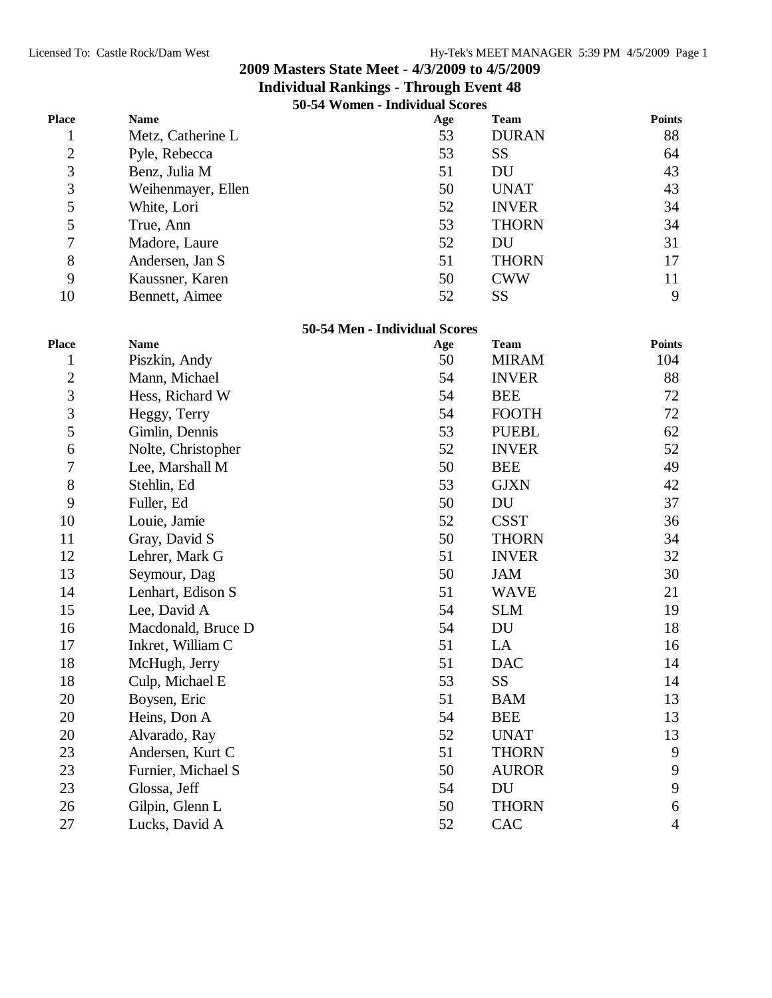|                         | 50-54 Women - Individual Scores |                               |              |                |
|-------------------------|---------------------------------|-------------------------------|--------------|----------------|
| <b>Place</b>            | <b>Name</b>                     | Age                           | <b>Team</b>  | <b>Points</b>  |
| 1                       | Metz, Catherine L               | 53                            | <b>DURAN</b> | 88             |
| $\overline{c}$          | Pyle, Rebecca                   | 53                            | <b>SS</b>    | 64             |
| 3                       | Benz, Julia M                   | 51                            | DU           | 43             |
| 3                       | Weihenmayer, Ellen              | 50                            | <b>UNAT</b>  | 43             |
| 5                       | White, Lori                     | 52                            | <b>INVER</b> | 34             |
| 5                       | True, Ann                       | 53                            | <b>THORN</b> | 34             |
| $\overline{7}$          | Madore, Laure                   | 52                            | DU           | 31             |
| $8\,$                   | Andersen, Jan S                 | 51                            | <b>THORN</b> | 17             |
| 9                       | Kaussner, Karen                 | 50                            | <b>CWW</b>   | 11             |
| 10                      | Bennett, Aimee                  | 52                            | <b>SS</b>    | 9              |
|                         |                                 | 50-54 Men - Individual Scores |              |                |
| <b>Place</b>            | <b>Name</b>                     | Age                           | <b>Team</b>  | <b>Points</b>  |
| $\mathbf{1}$            | Piszkin, Andy                   | 50                            | <b>MIRAM</b> | 104            |
| $\overline{\mathbf{c}}$ | Mann, Michael                   | 54                            | <b>INVER</b> | 88             |
| $\overline{3}$          | Hess, Richard W                 | 54                            | <b>BEE</b>   | 72             |
| 3                       | Heggy, Terry                    | 54                            | <b>FOOTH</b> | 72             |
| 5                       | Gimlin, Dennis                  | 53                            | <b>PUEBL</b> | 62             |
| 6                       | Nolte, Christopher              | 52                            | <b>INVER</b> | 52             |
| $\overline{7}$          | Lee, Marshall M                 | 50                            | <b>BEE</b>   | 49             |
| 8                       | Stehlin, Ed                     | 53                            | <b>GJXN</b>  | 42             |
| 9                       | Fuller, Ed                      | 50                            | DU           | 37             |
| 10                      | Louie, Jamie                    | 52                            | <b>CSST</b>  | 36             |
| 11                      | Gray, David S                   | 50                            | <b>THORN</b> | 34             |
| 12                      | Lehrer, Mark G                  | 51                            | <b>INVER</b> | 32             |
| 13                      | Seymour, Dag                    | 50                            | <b>JAM</b>   | 30             |
| 14                      | Lenhart, Edison S               | 51                            | <b>WAVE</b>  | 21             |
| 15                      | Lee, David A                    | 54                            | <b>SLM</b>   | 19             |
| 16                      | Macdonald, Bruce D              | 54                            | DU           | 18             |
| 17                      | Inkret, William C               | 51                            | LA           | 16             |
| 18                      | McHugh, Jerry                   | 51                            | <b>DAC</b>   | 14             |
| 18                      | Culp, Michael E                 | 53                            | SS           | 14             |
| 20                      | Boysen, Eric                    | 51                            | <b>BAM</b>   | 13             |
| 20                      | Heins, Don A                    | 54                            | <b>BEE</b>   | 13             |
| 20                      | Alvarado, Ray                   | 52                            | <b>UNAT</b>  | 13             |
| 23                      | Andersen, Kurt C                | 51                            | <b>THORN</b> | 9              |
| 23                      | Furnier, Michael S              | 50                            | <b>AUROR</b> | 9              |
| 23                      | Glossa, Jeff                    | 54                            | DU           | 9              |
| 26                      | Gilpin, Glenn L                 | 50                            | <b>THORN</b> | 6              |
| 27                      | Lucks, David A                  | 52                            | CAC          | $\overline{4}$ |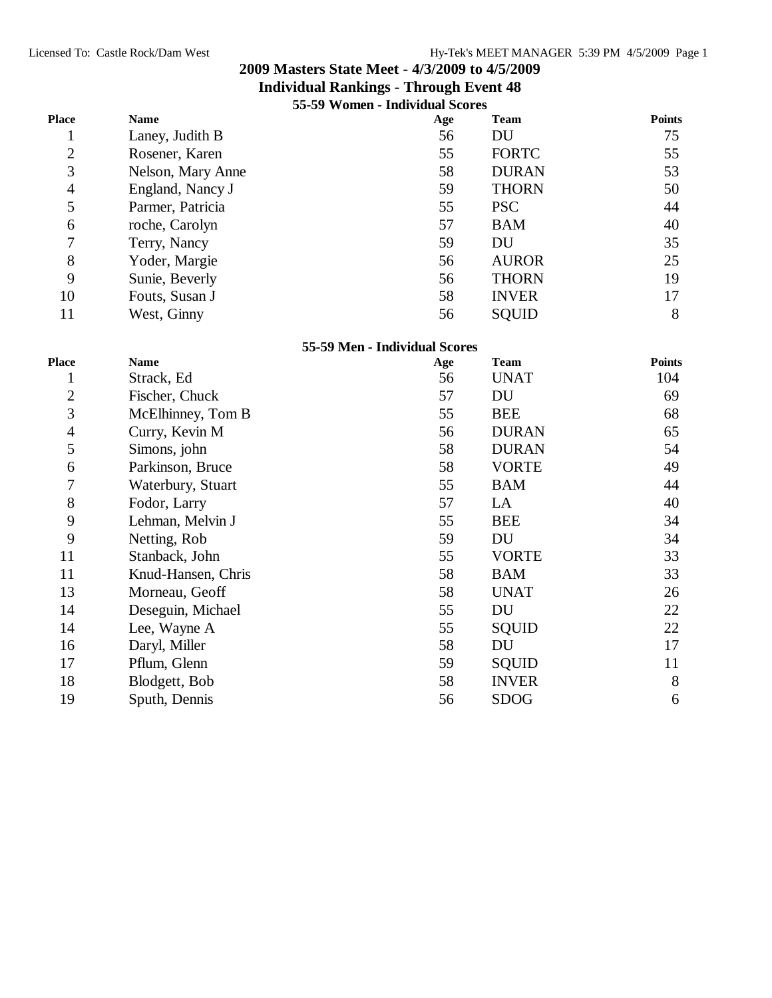|                |                    | 55-59 Women - Individual Scores |              |                  |
|----------------|--------------------|---------------------------------|--------------|------------------|
| <b>Place</b>   | <b>Name</b>        | Age                             | <b>Team</b>  | <b>Points</b>    |
| 1              | Laney, Judith B    | 56                              | DU           | 75               |
| $\overline{c}$ | Rosener, Karen     | 55                              | <b>FORTC</b> | 55               |
| 3              | Nelson, Mary Anne  | 58                              | <b>DURAN</b> | 53               |
| $\overline{4}$ | England, Nancy J   | 59                              | <b>THORN</b> | 50               |
| 5              | Parmer, Patricia   | 55                              | <b>PSC</b>   | 44               |
| 6              | roche, Carolyn     | 57                              | <b>BAM</b>   | 40               |
| 7              | Terry, Nancy       | 59                              | <b>DU</b>    | 35               |
| $8\,$          | Yoder, Margie      | 56                              | <b>AUROR</b> | 25               |
| 9              | Sunie, Beverly     | 56                              | <b>THORN</b> | 19               |
| 10             | Fouts, Susan J     | 58                              | <b>INVER</b> | 17               |
| 11             | West, Ginny        | 56                              | <b>SQUID</b> | 8                |
|                |                    | 55-59 Men - Individual Scores   |              |                  |
| <b>Place</b>   | <b>Name</b>        | Age                             | <b>Team</b>  | <b>Points</b>    |
| $\mathbf{1}$   | Strack, Ed         | 56                              | <b>UNAT</b>  | 104              |
| $\mathbf{2}$   | Fischer, Chuck     | 57                              | DU           | 69               |
| 3              | McElhinney, Tom B  | 55                              | <b>BEE</b>   | 68               |
| 4              | Curry, Kevin M     | 56                              | <b>DURAN</b> | 65               |
| 5              | Simons, john       | 58                              | <b>DURAN</b> | 54               |
| 6              | Parkinson, Bruce   | 58                              | <b>VORTE</b> | 49               |
| 7              | Waterbury, Stuart  | 55                              | <b>BAM</b>   | 44               |
| 8              | Fodor, Larry       | 57                              | LA           | 40               |
| 9              | Lehman, Melvin J   | 55                              | <b>BEE</b>   | 34               |
| 9              | Netting, Rob       | 59                              | DU           | 34               |
| 11             | Stanback, John     | 55                              | <b>VORTE</b> | 33               |
| 11             | Knud-Hansen, Chris | 58                              | <b>BAM</b>   | 33               |
| 13             | Morneau, Geoff     | 58                              | <b>UNAT</b>  | 26               |
| 14             | Deseguin, Michael  | 55                              | DU           | 22               |
| 14             | Lee, Wayne A       | 55                              | <b>SQUID</b> | 22               |
| 16             | Daryl, Miller      | 58                              | DU           | 17               |
| 17             | Pflum, Glenn       | 59                              | SQUID        | 11               |
| 18             | Blodgett, Bob      | 58                              | <b>INVER</b> | $8\,$            |
| 19             | Sputh, Dennis      | 56                              | <b>SDOG</b>  | $\boldsymbol{6}$ |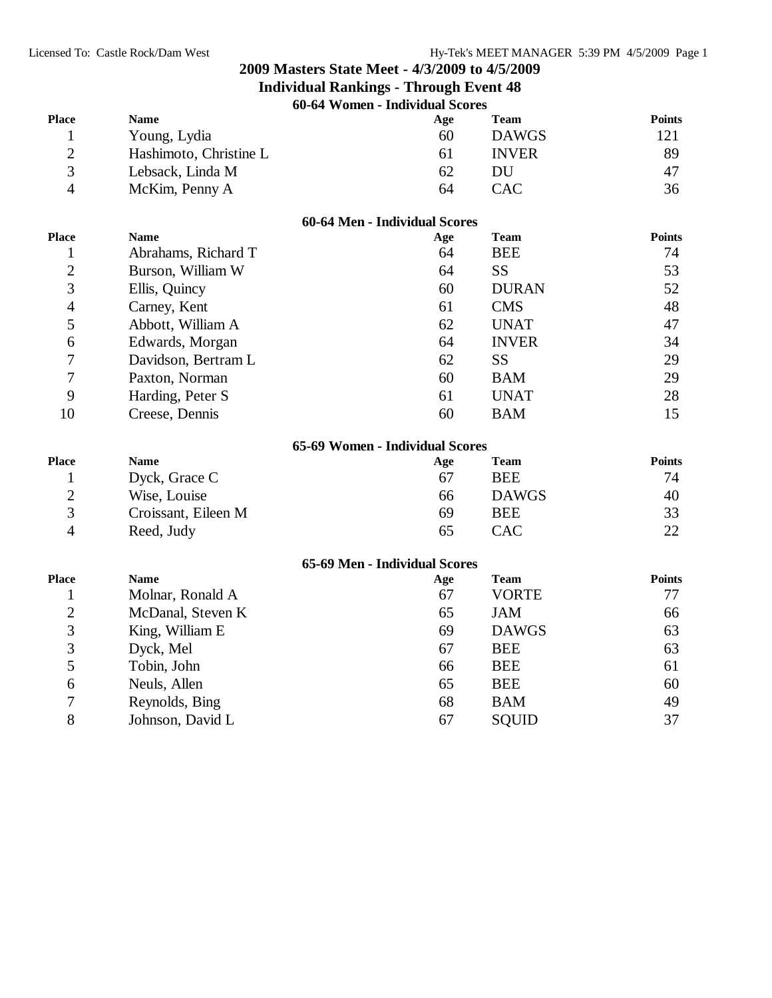| 60-64 Women - Individual Scores |
|---------------------------------|
|---------------------------------|

| <b>Place</b>   | <b>Name</b>            | Age                             | <b>Team</b>  | <b>Points</b> |
|----------------|------------------------|---------------------------------|--------------|---------------|
| $\mathbf{1}$   | Young, Lydia           | 60                              | <b>DAWGS</b> | 121           |
| $\overline{2}$ | Hashimoto, Christine L | 61                              | <b>INVER</b> | 89            |
| 3              | Lebsack, Linda M       | 62                              | DU           | 47            |
| $\overline{4}$ | McKim, Penny A         | 64                              | <b>CAC</b>   | 36            |
|                |                        | 60-64 Men - Individual Scores   |              |               |
| <b>Place</b>   | <b>Name</b>            | Age                             | <b>Team</b>  | <b>Points</b> |
| 1              | Abrahams, Richard T    | 64                              | <b>BEE</b>   | 74            |
| $\overline{2}$ | Burson, William W      | 64                              | <b>SS</b>    | 53            |
| 3              | Ellis, Quincy          | 60                              | <b>DURAN</b> | 52            |
| $\overline{4}$ | Carney, Kent           | 61                              | <b>CMS</b>   | 48            |
| 5              | Abbott, William A      | 62                              | <b>UNAT</b>  | 47            |
| 6              | Edwards, Morgan        | 64                              | <b>INVER</b> | 34            |
| 7              | Davidson, Bertram L    | 62                              | <b>SS</b>    | 29            |
| 7              | Paxton, Norman         | 60                              | <b>BAM</b>   | 29            |
| 9              | Harding, Peter S       | 61                              | <b>UNAT</b>  | 28            |
| 10             | Creese, Dennis         | 60                              | <b>BAM</b>   | 15            |
|                |                        | 65-69 Women - Individual Scores |              |               |
| <b>Place</b>   | <b>Name</b>            | Age                             | <b>Team</b>  | <b>Points</b> |
| 1              | Dyck, Grace C          | 67                              | <b>BEE</b>   | 74            |
| $\overline{c}$ | Wise, Louise           | 66                              | <b>DAWGS</b> | 40            |
| 3              | Croissant, Eileen M    | 69                              | <b>BEE</b>   | 33            |
| $\overline{4}$ | Reed, Judy             | 65                              | <b>CAC</b>   | 22            |
|                |                        | 65-69 Men - Individual Scores   |              |               |
| <b>Place</b>   | <b>Name</b>            | Age                             | <b>Team</b>  | <b>Points</b> |
| 1              | Molnar, Ronald A       | 67                              | <b>VORTE</b> | 77            |
| $\overline{2}$ | McDanal, Steven K      | 65                              | <b>JAM</b>   | 66            |
| 3              | King, William E        | 69                              | <b>DAWGS</b> | 63            |
| 3              | Dyck, Mel              | 67                              | <b>BEE</b>   | 63            |
| 5              | Tobin, John            | 66                              | <b>BEE</b>   | 61            |
| 6              | Neuls, Allen           | 65                              | <b>BEE</b>   | 60            |
| 7              | Reynolds, Bing         | 68                              | <b>BAM</b>   | 49            |
| 8              | Johnson, David L       | 67                              | SQUID        | 37            |